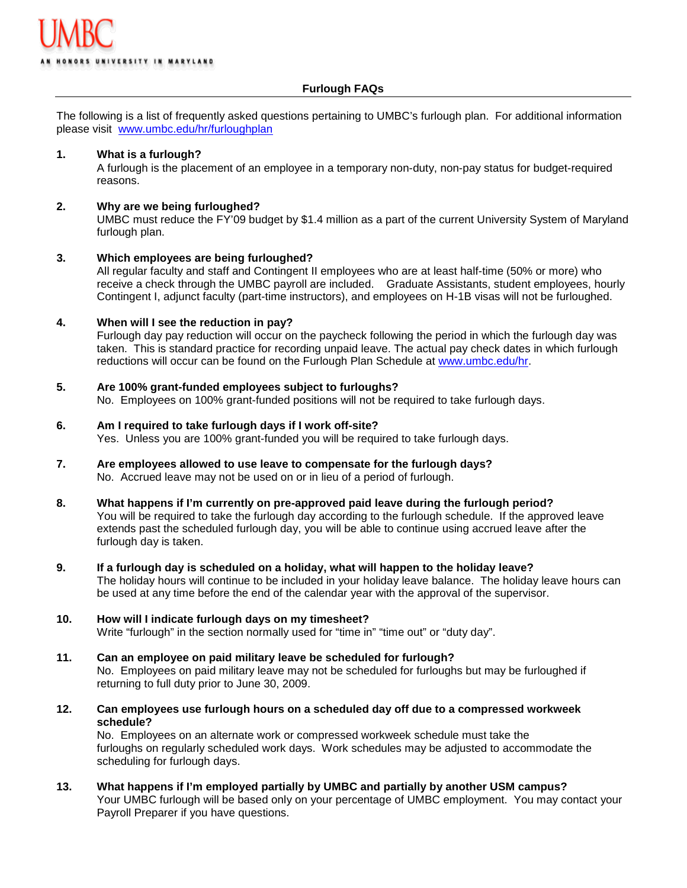### **Furlough FAQs**

The following is a list of frequently asked questions pertaining to UMBC's furlough plan. For additional information please visit [www.umbc.edu/hr/furloughplan](http://www.umbc.edu/hr/furloughplan)

### **1. What is a furlough?**

A furlough is the placement of an employee in a temporary non-duty, non-pay status for budget-required reasons.

### **2. Why are we being furloughed?**

UMBC must reduce the FY'09 budget by \$1.4 million as a part of the current University System of Maryland furlough plan.

## **3. Which employees are being furloughed?**

All regular faculty and staff and Contingent II employees who are at least half-time (50% or more) who receive a check through the UMBC payroll are included. Graduate Assistants, student employees, hourly Contingent I, adjunct faculty (part-time instructors), and employees on H-1B visas will not be furloughed.

## **4. When will I see the reduction in pay?**

Furlough day pay reduction will occur on the paycheck following the period in which the furlough day was taken. This is standard practice for recording unpaid leave. The actual pay check dates in which furlough reductions will occur can be found on the Furlough Plan Schedule at [www.umbc.edu/hr.](http://www.umbc.edu/hr)

### **5. Are 100% grant-funded employees subject to furloughs?**

No. Employees on 100% grant-funded positions will not be required to take furlough days.

# **6. Am I required to take furlough days if I work off-site?**

Yes. Unless you are 100% grant-funded you will be required to take furlough days.

#### **7. Are employees allowed to use leave to compensate for the furlough days?** No. Accrued leave may not be used on or in lieu of a period of furlough.

- **8. What happens if I'm currently on pre-approved paid leave during the furlough period?** You will be required to take the furlough day according to the furlough schedule. If the approved leave extends past the scheduled furlough day, you will be able to continue using accrued leave after the furlough day is taken.
- **9. If a furlough day is scheduled on a holiday, what will happen to the holiday leave?**  The holiday hours will continue to be included in your holiday leave balance. The holiday leave hours can be used at any time before the end of the calendar year with the approval of the supervisor.

### **10. How will I indicate furlough days on my timesheet?** Write "furlough" in the section normally used for "time in" "time out" or "duty day".

- **11. Can an employee on paid military leave be scheduled for furlough?** No. Employees on paid military leave may not be scheduled for furloughs but may be furloughed if returning to full duty prior to June 30, 2009.
- **12. Can employees use furlough hours on a scheduled day off due to a compressed workweek schedule?**

No. Employees on an alternate work or compressed workweek schedule must take the furloughs on regularly scheduled work days. Work schedules may be adjusted to accommodate the scheduling for furlough days.

**13. What happens if I'm employed partially by UMBC and partially by another USM campus?** Your UMBC furlough will be based only on your percentage of UMBC employment. You may contact your Payroll Preparer if you have questions.